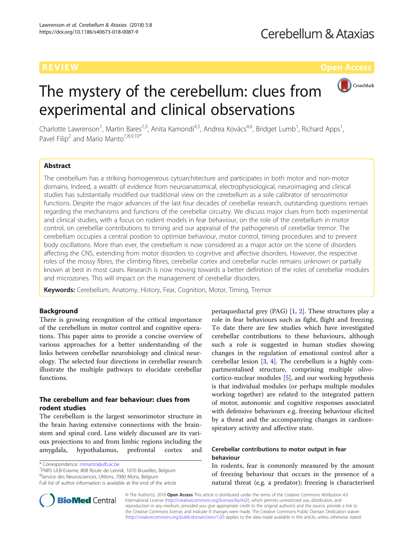# The mystery of the cerebellum: clues from experimental and clinical observations



Charlotte Lawrenson<sup>1</sup>, Martin Bares<sup>2,3</sup>, Anita Kamondi<sup>4,5</sup>, Andrea Kovács<sup>4,6</sup>, Bridget Lumb<sup>1</sup>, Richard Apps<sup>1</sup> , Pavel Filip<sup>2</sup> and Mario Manto<sup>7,8,9,10\*</sup>

### Abstract

The cerebellum has a striking homogeneous cytoarchitecture and participates in both motor and non-motor domains. Indeed, a wealth of evidence from neuroanatomical, electrophysiological, neuroimaging and clinical studies has substantially modified our traditional view on the cerebellum as a sole calibrator of sensorimotor functions. Despite the major advances of the last four decades of cerebellar research, outstanding questions remain regarding the mechanisms and functions of the cerebellar circuitry. We discuss major clues from both experimental and clinical studies, with a focus on rodent models in fear behaviour, on the role of the cerebellum in motor control, on cerebellar contributions to timing and our appraisal of the pathogenesis of cerebellar tremor. The cerebellum occupies a central position to optimize behaviour, motor control, timing procedures and to prevent body oscillations. More than ever, the cerebellum is now considered as a major actor on the scene of disorders affecting the CNS, extending from motor disorders to cognitive and affective disorders. However, the respective roles of the mossy fibres, the climbing fibres, cerebellar cortex and cerebellar nuclei remains unknown or partially known at best in most cases. Research is now moving towards a better definition of the roles of cerebellar modules and microzones. This will impact on the management of cerebellar disorders.

Keywords: Cerebellum, Anatomy, History, Fear, Cognition, Motor, Timing, Tremor

#### Background

There is growing recognition of the critical importance of the cerebellum in motor control and cognitive operations. This paper aims to provide a concise overview of various approaches for a better understanding of the links between cerebellar neurobiology and clinical neurology. The selected four directions in cerebellar research illustrate the multiple pathways to elucidate cerebellar functions.

### The cerebellum and fear behaviour: clues from rodent studies

The cerebellum is the largest sensorimotor structure in the brain having extensive connections with the brainstem and spinal cord. Less widely discussed are its various projections to and from limbic regions including the amygdala, hypothalamus, prefrontal cortex and

\* Correspondence: [mmanto@ulb.ac.be](mailto:mmanto@ulb.ac.be) <sup>7</sup>

<sup>7</sup>FNRS ULB-Erasme, 808 Route de Lennik, 1070 Bruxelles, Belgium

<sup>8</sup>Service des Neurosciences, UMons, 7000 Mons, Belgium



#### Cerebellar contributions to motor output in fear behaviour

In rodents, fear is commonly measured by the amount of freezing behaviour that occurs in the presence of a natural threat (e.g. a predator); freezing is characterised



© The Author(s). 2018 Open Access This article is distributed under the terms of the Creative Commons Attribution 4.0 International License [\(http://creativecommons.org/licenses/by/4.0/](http://creativecommons.org/licenses/by/4.0/)), which permits unrestricted use, distribution, and reproduction in any medium, provided you give appropriate credit to the original author(s) and the source, provide a link to the Creative Commons license, and indicate if changes were made. The Creative Commons Public Domain Dedication waiver [\(http://creativecommons.org/publicdomain/zero/1.0/](http://creativecommons.org/publicdomain/zero/1.0/)) applies to the data made available in this article, unless otherwise stated.

Full list of author information is available at the end of the article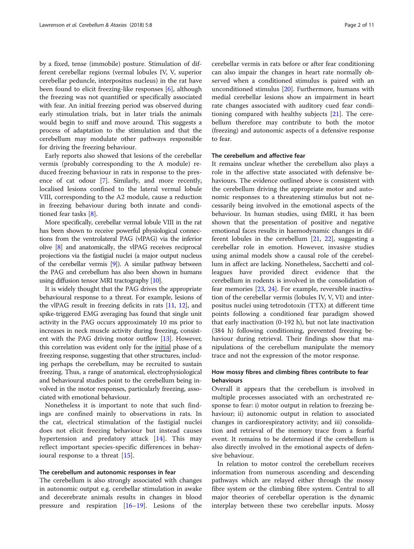by a fixed, tense (immobile) posture. Stimulation of different cerebellar regions (vermal lobules IV, V, superior cerebellar peduncle, interpositus nucleus) in the rat have been found to elicit freezing-like responses [\[6\]](#page-8-0), although the freezing was not quantified or specifically associated with fear. An initial freezing period was observed during early stimulation trials, but in later trials the animals would begin to sniff and move around. This suggests a process of adaptation to the stimulation and that the cerebellum may modulate other pathways responsible for driving the freezing behaviour.

Early reports also showed that lesions of the cerebellar vermis (probably corresponding to the A module) reduced freezing behaviour in rats in response to the presence of cat odour [\[7\]](#page-8-0). Similarly, and more recently, localised lesions confined to the lateral vermal lobule VIII, corresponding to the A2 module, cause a reduction in freezing behaviour during both innate and conditioned fear tasks [\[8](#page-8-0)].

More specifically, cerebellar vermal lobule VIII in the rat has been shown to receive powerful physiological connections from the ventrolateral PAG (vlPAG) via the inferior olive [\[8](#page-8-0)] and anatomically, the vlPAG receives reciprocal projections via the fastigial nuclei (a major output nucleus of the cerebellar vermis [[9](#page-8-0)]). A similar pathway between the PAG and cerebellum has also been shown in humans using diffusion tensor MRI tractography [\[10\]](#page-8-0).

It is widely thought that the PAG drives the appropriate behavioural response to a threat. For example, lesions of the vlPAG result in freezing deficits in rats [[11](#page-8-0), [12\]](#page-8-0), and spike-triggered EMG averaging has found that single unit activity in the PAG occurs approximately 10 ms prior to increases in neck muscle activity during freezing, consistent with the PAG driving motor outflow [\[13\]](#page-8-0). However, this correlation was evident only for the initial phase of a freezing response, suggesting that other structures, including perhaps the cerebellum, may be recruited to sustain freezing. Thus, a range of anatomical, electrophysiological and behavioural studies point to the cerebellum being involved in the motor responses, particularly freezing, associated with emotional behaviour.

Nonetheless it is important to note that such findings are confined mainly to observations in rats. In the cat, electrical stimulation of the fastigial nuclei does not elicit freezing behaviour but instead causes hypertension and predatory attack [\[14](#page-8-0)]. This may reflect important species-specific differences in behavioural response to a threat [[15\]](#page-8-0).

#### The cerebellum and autonomic responses in fear

The cerebellum is also strongly associated with changes in autonomic output e.g. cerebellar stimulation in awake and decerebrate animals results in changes in blood pressure and respiration [[16](#page-8-0)–[19](#page-8-0)]. Lesions of the cerebellar vermis in rats before or after fear conditioning can also impair the changes in heart rate normally observed when a conditioned stimulus is paired with an unconditioned stimulus [[20\]](#page-8-0). Furthermore, humans with medial cerebellar lesions show an impairment in heart rate changes associated with auditory cued fear conditioning compared with healthy subjects [\[21](#page-8-0)]. The cerebellum therefore may contribute to both the motor (freezing) and autonomic aspects of a defensive response to fear.

#### The cerebellum and affective fear

It remains unclear whether the cerebellum also plays a role in the affective state associated with defensive behaviours. The evidence outlined above is consistent with the cerebellum driving the appropriate motor and autonomic responses to a threatening stimulus but not necessarily being involved in the emotional aspects of the behaviour. In human studies, using fMRI, it has been shown that the presentation of positive and negative emotional faces results in haemodynamic changes in different lobules in the cerebellum  $[21, 22]$  $[21, 22]$  $[21, 22]$ , suggesting a cerebellar role in emotion. However, invasive studies using animal models show a causal role of the cerebellum in affect are lacking. Nonetheless, Sacchetti and colleagues have provided direct evidence that the cerebellum in rodents is involved in the consolidation of fear memories [\[23](#page-8-0), [24](#page-8-0)]. For example, reversible inactivation of the cerebellar vermis (lobules IV, V, VI) and interpositus nuclei using tetrodotoxin (TTX) at different time points following a conditioned fear paradigm showed that early inactivation (0-192 h), but not late inactivation (384 h) following conditioning, prevented freezing behaviour during retrieval. Their findings show that manipulations of the cerebellum manipulate the memory trace and not the expression of the motor response.

#### How mossy fibres and climbing fibres contribute to fear behaviours

Overall it appears that the cerebellum is involved in multiple processes associated with an orchestrated response to fear: i) motor output in relation to freezing behaviour; ii) autonomic output in relation to associated changes in cardiorespiratory activity; and iii) consolidation and retrieval of the memory trace from a fearful event. It remains to be determined if the cerebellum is also directly involved in the emotional aspects of defensive behaviour.

In relation to motor control the cerebellum receives information from numerous ascending and descending pathways which are relayed either through the mossy fibre system or the climbing fibre system. Central to all major theories of cerebellar operation is the dynamic interplay between these two cerebellar inputs. Mossy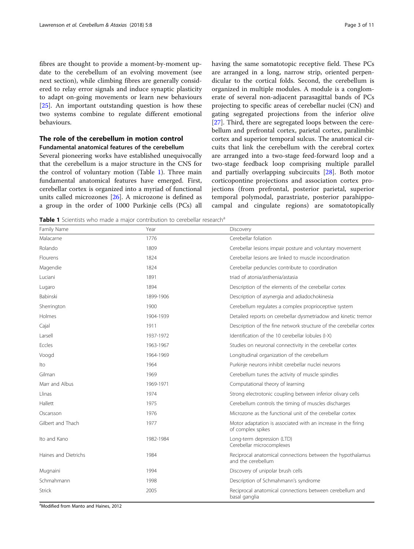fibres are thought to provide a moment-by-moment update to the cerebellum of an evolving movement (see next section), while climbing fibres are generally considered to relay error signals and induce synaptic plasticity to adapt on-going movements or learn new behaviours [[25\]](#page-8-0). An important outstanding question is how these two systems combine to regulate different emotional behaviours.

#### The role of the cerebellum in motion control Fundamental anatomical features of the cerebellum

Several pioneering works have established unequivocally that the cerebellum is a major structure in the CNS for the control of voluntary motion (Table 1). Three main fundamental anatomical features have emerged. First, cerebellar cortex is organized into a myriad of functional units called microzones [[26\]](#page-8-0). A microzone is defined as a group in the order of 1000 Purkinje cells (PCs) all having the same somatotopic receptive field. These PCs are arranged in a long, narrow strip, oriented perpendicular to the cortical folds. Second, the cerebellum is organized in multiple modules. A module is a conglomerate of several non-adjacent parasagittal bands of PCs projecting to specific areas of cerebellar nuclei (CN) and gating segregated projections from the inferior olive [[27\]](#page-8-0). Third, there are segregated loops between the cerebellum and prefrontal cortex, parietal cortex, paralimbic cortex and superior temporal sulcus. The anatomical circuits that link the cerebellum with the cerebral cortex are arranged into a two-stage feed-forward loop and a two-stage feedback loop comprising multiple parallel and partially overlapping subcircuits [\[28](#page-8-0)]. Both motor corticopontine projections and association cortex projections (from prefrontal, posterior parietal, superior temporal polymodal, parastriate, posterior parahippocampal and cingulate regions) are somatotopically

 $$ 

| Family Name          | Year      | Discovery                                                                          |
|----------------------|-----------|------------------------------------------------------------------------------------|
| Malacarne            | 1776      | Cerebellar foliation                                                               |
| Rolando              | 1809      | Cerebellar lesions impair posture and voluntary movement                           |
| Flourens             | 1824      | Cerebellar lesions are linked to muscle incoordination                             |
| Magendie             | 1824      | Cerebellar peduncles contribute to coordination                                    |
| Luciani              | 1891      | triad of atonia/asthenia/astasia                                                   |
| Lugaro               | 1894      | Description of the elements of the cerebellar cortex                               |
| <b>Babinski</b>      | 1899-1906 | Description of asynergia and adiadochokinesia                                      |
| Sherrington          | 1900      | Cerebellum regulates a complex proprioceptive system                               |
| Holmes               | 1904-1939 | Detailed reports on cerebellar dysmetriadow and kinetic tremor                     |
| Cajal                | 1911      | Description of the fine network structure of the cerebellar cortex                 |
| Larsell              | 1937-1972 | Identification of the 10 cerebellar lobules (I-X)                                  |
| Eccles               | 1963-1967 | Studies on neuronal connectivity in the cerebellar cortex                          |
| Voogd                | 1964-1969 | Longitudinal organization of the cerebellum                                        |
| Ito                  | 1964      | Purkinje neurons inhibit cerebellar nuclei neurons                                 |
| Gilman               | 1969      | Cerebellum tunes the activity of muscle spindles                                   |
| Marr and Albus       | 1969-1971 | Computational theory of learning                                                   |
| I linas              | 1974      | Strong electrotonic coupling between inferior olivary cells                        |
| Hallett              | 1975      | Cerebellum controls the timing of muscles discharges                               |
| Oscarsson            | 1976      | Microzone as the functional unit of the cerebellar cortex                          |
| Gilbert and Thach    | 1977      | Motor adaptation is associated with an increase in the firing<br>of complex spikes |
| Ito and Kano         | 1982-1984 | Long-term depression (LTD)<br>Cerebellar microcomplexes                            |
| Haines and Dietrichs | 1984      | Reciprocal anatomical connections between the hypothalamus<br>and the cerebellum   |
| Mugnaini             | 1994      | Discovery of unipolar brush cells                                                  |
| Schmahmann           | 1998      | Description of Schmahmann's syndrome                                               |
| <b>Strick</b>        | 2005      | Reciprocal anatomical connections between cerebellum and<br>basal ganglia          |

<sup>a</sup>Modified from Manto and Haines, 2012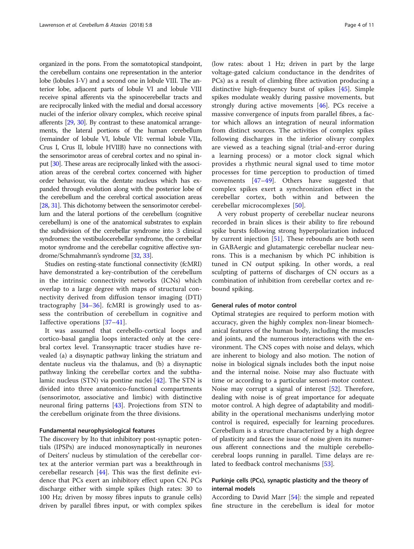organized in the pons. From the somatotopical standpoint, the cerebellum contains one representation in the anterior lobe (lobules I-V) and a second one in lobule VIII. The anterior lobe, adjacent parts of lobule VI and lobule VIII receive spinal afferents via the spinocerebellar tracts and are reciprocally linked with the medial and dorsal accessory nuclei of the inferior olivary complex, which receive spinal afferents [\[29,](#page-8-0) [30\]](#page-8-0). By contrast to these anatomical arrangements, the lateral portions of the human cerebellum (remainder of lobule VI, lobule VII: vermal lobule VIIa, Crus I, Crus II, lobule HVIIB) have no connections with the sensorimotor areas of cerebral cortex and no spinal input [\[30\]](#page-8-0). These areas are reciprocally linked with the association areas of the cerebral cortex concerned with higher order behaviour, via the dentate nucleus which has expanded through evolution along with the posterior lobe of the cerebellum and the cerebral cortical association areas [[28](#page-8-0), [31](#page-8-0)]. This dichotomy between the sensorimotor cerebellum and the lateral portions of the cerebellum (cognitive cerebellum) is one of the anatomical substrates to explain the subdivision of the cerebellar syndrome into 3 clinical syndromes: the vestibulocerebellar syndrome, the cerebellar motor syndrome and the cerebellar cognitive affective syndrome/Schmahmann's syndrome [[32](#page-8-0), [33](#page-8-0)].

Studies on resting-state functional connectivity (fcMRI) have demonstrated a key-contribution of the cerebellum in the intrinsic connectivity networks (ICNs) which overlap to a large degree with maps of structural connectivity derived from diffusion tensor imaging (DTI) tractography [\[34](#page-8-0)–[36](#page-8-0)]. fcMRI is growingly used to assess the contribution of cerebellum in cognitive and 1affective operations [[37](#page-8-0)–[41\]](#page-9-0).

It was assumed that cerebello-cortical loops and cortico-basal ganglia loops interacted only at the cerebral cortex level. Transsynaptic tracer studies have revealed (a) a disynaptic pathway linking the striatum and dentate nucleus via the thalamus, and (b) a disynaptic pathway linking the cerebellar cortex and the subthalamic nucleus (STN) via pontine nuclei [[42](#page-9-0)]. The STN is divided into three anatomico-functional compartments (sensorimotor, associative and limbic) with distinctive neuronal firing patterns [[43](#page-9-0)]. Projections from STN to the cerebellum originate from the three divisions.

#### Fundamental neurophysiological features

The discovery by Ito that inhibitory post-synaptic potentials (IPSPs) are induced monosynaptically in neurones of Deiters' nucleus by stimulation of the cerebellar cortex at the anterior vermian part was a breakthrough in cerebellar research [[44\]](#page-9-0). This was the first definite evidence that PCs exert an inhibitory effect upon CN. PCs discharge either with simple spikes (high rates: 30 to 100 Hz; driven by mossy fibres inputs to granule cells) driven by parallel fibres input, or with complex spikes

(low rates: about 1 Hz; driven in part by the large voltage-gated calcium conductance in the dendrites of PCs) as a result of climbing fibre activation producing a distinctive high-frequency burst of spikes [\[45](#page-9-0)]. Simple spikes modulate weakly during passive movements, but strongly during active movements  $[46]$  $[46]$ . PCs receive a massive convergence of inputs from parallel fibres, a factor which allows an integration of neural information from distinct sources. The activities of complex spikes following discharges in the inferior olivary complex are viewed as a teaching signal (trial-and-error during a learning process) or a motor clock signal which provides a rhythmic neural signal used to time motor processes for time perception to production of timed movements [\[47](#page-9-0)–[49](#page-9-0)]. Others have suggested that complex spikes exert a synchronization effect in the cerebellar cortex, both within and between the cerebellar microcomplexes [\[50](#page-9-0)].

A very robust property of cerebellar nuclear neurons recorded in brain slices is their ability to fire rebound spike bursts following strong hyperpolarization induced by current injection [[51\]](#page-9-0). These rebounds are both seen in GABAergic and glutamatergic cerebellar nuclear neurons. This is a mechanism by which PC inhibition is tuned in CN output spiking. In other words, a real sculpting of patterns of discharges of CN occurs as a combination of inhibition from cerebellar cortex and rebound spiking.

#### General rules of motor control

Optimal strategies are required to perform motion with accuracy, given the highly complex non-linear biomechanical features of the human body, including the muscles and joints, and the numerous interactions with the environment. The CNS copes with noise and delays, which are inherent to biology and also motion. The notion of noise in biological signals includes both the input noise and the internal noise. Noise may also fluctuate with time or according to a particular sensori-motor context. Noise may corrupt a signal of interest [[52](#page-9-0)]. Therefore, dealing with noise is of great importance for adequate motor control. A high degree of adaptability and modifiability in the operational mechanisms underlying motor control is required, especially for learning procedures. Cerebellum is a structure characterized by a high degree of plasticity and faces the issue of noise given its numerous afferent connections and the multiple cerebellocerebral loops running in parallel. Time delays are related to feedback control mechanisms [\[53](#page-9-0)].

#### Purkinje cells (PCs), synaptic plasticity and the theory of internal models

According to David Marr [[54](#page-9-0)]: the simple and repeated fine structure in the cerebellum is ideal for motor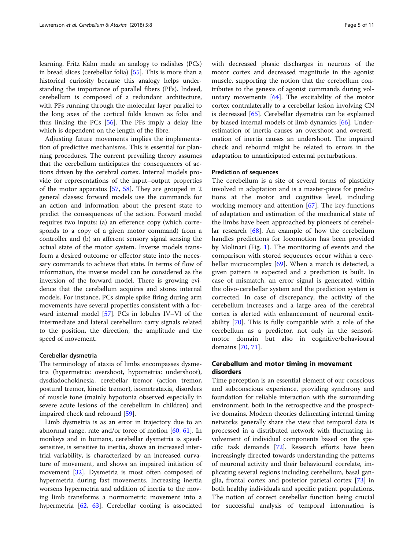learning. Fritz Kahn made an analogy to radishes (PCs) in bread slices (cerebellar folia) [\[55\]](#page-9-0). This is more than a historical curiosity because this analogy helps understanding the importance of parallel fibers (PFs). Indeed, cerebellum is composed of a redundant architecture, with PFs running through the molecular layer parallel to the long axes of the cortical folds known as folia and thus linking the PCs [\[56](#page-9-0)]. The PFs imply a delay line which is dependent on the length of the fibre.

Adjusting future movements implies the implementation of predictive mechanisms. This is essential for planning procedures. The current prevailing theory assumes that the cerebellum anticipates the consequences of actions driven by the cerebral cortex. Internal models provide for representations of the input–output properties of the motor apparatus [[57,](#page-9-0) [58\]](#page-9-0). They are grouped in 2 general classes: forward models use the commands for an action and information about the present state to predict the consequences of the action. Forward model requires two inputs: (a) an efference copy (which corresponds to a copy of a given motor command) from a controller and (b) an afferent sensory signal sensing the actual state of the motor system. Inverse models transform a desired outcome or effector state into the necessary commands to achieve that state. In terms of flow of information, the inverse model can be considered as the inversion of the forward model. There is growing evidence that the cerebellum acquires and stores internal models. For instance, PCs simple spike firing during arm movements have several properties consistent with a forward internal model [[57\]](#page-9-0). PCs in lobules IV–VI of the intermediate and lateral cerebellum carry signals related to the position, the direction, the amplitude and the speed of movement.

#### Cerebellar dysmetria

The terminology of ataxia of limbs encompasses dysmetria (hypermetria: overshoot, hypometria: undershoot), dysdiadochokinesia, cerebellar tremor (action tremor, postural tremor, kinetic tremor), isometrataxia, disorders of muscle tone (mainly hypotonia observed especially in severe acute lesions of the cerebellum in children) and impaired check and rebound [[59](#page-9-0)].

Limb dysmetria is as an error in trajectory due to an abnormal range, rate and/or force of motion [\[60,](#page-9-0) [61](#page-9-0)]. In monkeys and in humans, cerebellar dysmetria is speedsensitive, is sensitive to inertia, shows an increased intertrial variability, is characterized by an increased curvature of movement, and shows an impaired initiation of movement [[32\]](#page-8-0). Dysmetria is most often composed of hypermetria during fast movements. Increasing inertia worsens hypermetria and addition of inertia to the moving limb transforms a normometric movement into a hypermetria [\[62,](#page-9-0) [63\]](#page-9-0). Cerebellar cooling is associated

with decreased phasic discharges in neurons of the motor cortex and decreased magnitude in the agonist muscle, supporting the notion that the cerebellum contributes to the genesis of agonist commands during voluntary movements [[64\]](#page-9-0). The excitability of the motor cortex contralaterally to a cerebellar lesion involving CN is decreased [\[65](#page-9-0)]. Cerebellar dysmetria can be explained by biased internal models of limb dynamics [[66\]](#page-9-0). Underestimation of inertia causes an overshoot and overestimation of inertia causes an undershoot. The impaired check and rebound might be related to errors in the adaptation to unanticipated external perturbations.

#### Prediction of sequences

The cerebellum is a site of several forms of plasticity involved in adaptation and is a master-piece for predictions at the motor and cognitive level, including working memory and attention [\[67](#page-9-0)]. The key-functions of adaptation and estimation of the mechanical state of the limbs have been approached by pioneers of cerebellar research  $[68]$  $[68]$ . An example of how the cerebellum handles predictions for locomotion has been provided by Molinari (Fig. [1\)](#page-5-0). The monitoring of events and the comparison with stored sequences occur within a cerebellar microcomplex [[69\]](#page-9-0). When a match is detected, a given pattern is expected and a prediction is built. In case of mismatch, an error signal is generated within the olivo-cerebellar system and the prediction system is corrected. In case of discrepancy, the activity of the cerebellum increases and a large area of the cerebral cortex is alerted with enhancement of neuronal excitability [\[70](#page-9-0)]. This is fully compatible with a role of the cerebellum as a predictor, not only in the sensorimotor domain but also in cognitive/behavioural domains [\[70](#page-9-0), [71](#page-9-0)].

#### Cerebellum and motor timing in movement disorders

Time perception is an essential element of our conscious and subconscious experience, providing synchrony and foundation for reliable interaction with the surrounding environment, both in the retrospective and the prospective domains. Modern theories delineating internal timing networks generally share the view that temporal data is processed in a distributed network with fluctuating involvement of individual components based on the specific task demands [\[72\]](#page-9-0). Research efforts have been increasingly directed towards understanding the patterns of neuronal activity and their behavioural correlate, implicating several regions including cerebellum, basal ganglia, frontal cortex and posterior parietal cortex [[73](#page-9-0)] in both healthy individuals and specific patient populations. The notion of correct cerebellar function being crucial for successful analysis of temporal information is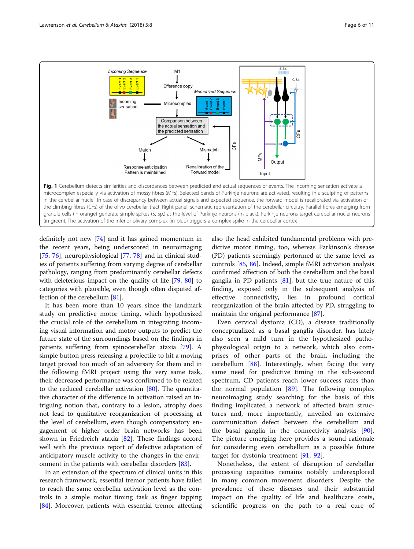<span id="page-5-0"></span>

definitely not new [[74\]](#page-9-0) and it has gained momentum in the recent years, being underscored in neuroimaging [[75,](#page-9-0) [76\]](#page-9-0), neurophysiological [\[77](#page-9-0), [78](#page-9-0)] and in clinical studies of patients suffering from varying degree of cerebellar pathology, ranging from predominantly cerebellar defects with deleterious impact on the quality of life [\[79,](#page-9-0) [80](#page-9-0)] to categories with plausible, even though often disputed affection of the cerebellum [\[81](#page-9-0)].

It has been more than 10 years since the landmark study on predictive motor timing, which hypothesized the crucial role of the cerebellum in integrating incoming visual information and motor outputs to predict the future state of the surroundings based on the findings in patients suffering from spinocerebellar ataxia [[79](#page-9-0)]. A simple button press releasing a projectile to hit a moving target proved too much of an adversary for them and in the following fMRI project using the very same task, their decreased performance was confirmed to be related to the reduced cerebellar activation [[80\]](#page-9-0). The quantitative character of the difference in activation raised an intriguing notion that, contrary to a lesion, atrophy does not lead to qualitative reorganization of processing at the level of cerebellum, even though compensatory engagement of higher order brain networks has been shown in Friedreich ataxia [[82](#page-9-0)]. These findings accord well with the previous report of defective adaptation of anticipatory muscle activity to the changes in the environment in the patients with cerebellar disorders [\[83\]](#page-9-0).

In an extension of the spectrum of clinical units in this research framework, essential tremor patients have failed to reach the same cerebellar activation level as the controls in a simple motor timing task as finger tapping [[84\]](#page-9-0). Moreover, patients with essential tremor affecting

also the head exhibited fundamental problems with predictive motor timing, too, whereas Parkinson's disease (PD) patients seemingly performed at the same level as controls [\[85,](#page-9-0) [86](#page-9-0)]. Indeed, simple fMRI activation analysis confirmed affection of both the cerebellum and the basal ganglia in PD patients [\[81](#page-9-0)], but the true nature of this finding, exposed only in the subsequent analysis of effective connectivity, lies in profound cortical reorganization of the brain affected by PD, struggling to maintain the original performance [\[87](#page-9-0)].

Even cervical dystonia (CD), a disease traditionally conceptualized as a basal ganglia disorder, has lately also seen a mild turn in the hypothesized pathophysiological origin to a network, which also comprises of other parts of the brain, including the cerebellum  $[88]$  $[88]$  $[88]$ . Interestingly, when facing the very same need for predictive timing in the sub-second spectrum, CD patients reach lower success rates than the normal population  $[89]$  $[89]$ . The following complex neuroimaging study searching for the basis of this finding implicated a network of affected brain structures and, more importantly, unveiled an extensive communication defect between the cerebellum and the basal ganglia in the connectivity analysis [\[90](#page-9-0)]. The picture emerging here provides a sound rationale for considering even cerebellum as a possible future target for dystonia treatment [\[91](#page-9-0), [92](#page-10-0)].

Nonetheless, the extent of disruption of cerebellar processing capacities remains notably underexplored in many common movement disorders. Despite the prevalence of these diseases and their substantial impact on the quality of life and healthcare costs, scientific progress on the path to a real cure of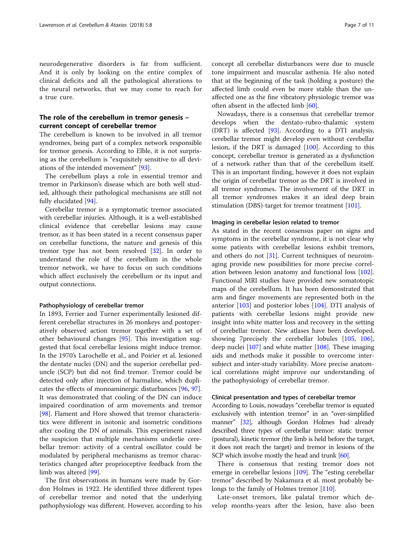neurodegenerative disorders is far from sufficient. And it is only by looking on the entire complex of clinical deficits and all the pathological alterations to the neural networks, that we may come to reach for a true cure.

#### The role of the cerebellum in tremor genesis – current concept of cerebellar tremor

The cerebellum is known to be involved in all tremor syndromes, being part of a complex network responsible for tremor genesis. According to Elble, it is not surprising as the cerebellum is "exquisitely sensitive to all deviations of the intended movement" [[93](#page-10-0)].

The cerebellum plays a role in essential tremor and tremor in Parkinson's disease which are both well studied, although their pathological mechanisms are still not fully elucidated [\[94\]](#page-10-0).

Cerebellar tremor is a symptomatic tremor associated with cerebellar injuries. Although, it is a well-established clinical evidence that cerebellar lesions may cause tremor, as it has been stated in a recent consensus paper on cerebellar functions, the nature and genesis of this tremor type has not been resolved [\[32](#page-8-0)]. In order to understand the role of the cerebellum in the whole tremor network, we have to focus on such conditions which affect exclusively the cerebellum or its input and output connections.

#### Pathophysiology of cerebellar tremor

In 1893, Ferrier and Turner experimentally lesioned different cerebellar structures in 26 monkeys and postoperatively observed action tremor together with a set of other behavioural changes [[95\]](#page-10-0). This investigation suggested that focal cerebellar lesions might induce tremor. In the 1970's Larochelle et al., and Poirier et al. lesioned the dentate nuclei (DN) and the superior cerebellar peduncle (SCP) but did not find tremor. Tremor could be detected only after injection of harmaline, which duplicates the effects of monoaminergic disturbances [\[96](#page-10-0), [97](#page-10-0)]. It was demonstrated that cooling of the DN can induce impaired coordination of arm movements and tremor [[98\]](#page-10-0). Flament and Hore showed that tremor characteristics were different in isotonic and isometric conditions after cooling the DN of animals. This experiment raised the suspicion that multiple mechanisms underlie cerebellar tremor: activity of a central oscillator could be modulated by peripheral mechanisms as tremor characteristics changed after proprioceptive feedback from the limb was altered [\[99\]](#page-10-0).

The first observations in humans were made by Gordon Holmes in 1922. He identified three different types of cerebellar tremor and noted that the underlying pathophysiology was different. However, according to his

concept all cerebellar disturbances were due to muscle tone impairment and muscular asthenia. He also noted that at the beginning of the task (holding a posture) the affected limb could even be more stable than the unaffected one as the fine vibratory physiologic tremor was often absent in the affected limb [[60\]](#page-9-0).

Nowadays, there is a consensus that cerebellar tremor develops when the dentato-rubro-thalamic system (DRT) is affected [\[93](#page-10-0)]. According to a DTI analysis, cerebellar tremor might develop even without cerebellar lesion, if the DRT is damaged [\[100\]](#page-10-0). According to this concept, cerebellar tremor is generated as a dysfunction of a network rather than that of the cerebellum itself. This is an important finding, however it does not explain the origin of cerebellar tremor as the DRT is involved in all tremor syndromes. The involvement of the DRT in all tremor syndromes makes it an ideal deep brain stimulation (DBS)-target for tremor treatment [\[101\]](#page-10-0).

#### Imaging in cerebellar lesion related to tremor

As stated in the recent consensus paper on signs and symptoms in the cerebellar syndrome, it is not clear why some patients with cerebellar lesions exhibit tremors, and others do not  $[31]$  $[31]$  $[31]$ . Current techniques of neuroimaging provide new possibilities for more precise correlation between lesion anatomy and functional loss [[102](#page-10-0)]. Functional MRI studies have provided new somatotopic maps of the cerebellum. It has been demonstrated that arm and finger movements are represented both in the anterior [[103\]](#page-10-0) and posterior lobes [[104](#page-10-0)]. DTI analysis of patients with cerebellar lesions might provide new insight into white matter loss and recovery in the setting of cerebellar tremor. New atlases have been developed, showing 7precisely the cerebellar lobules [\[105](#page-10-0), [106](#page-10-0)], deep nuclei  $[107]$  $[107]$  and white matter  $[108]$  $[108]$  $[108]$ . These imaging aids and methods make it possible to overcome intersubject and inter-study variability. More precise anatomical correlations might improve our understanding of the pathophysiology of cerebellar tremor.

#### Clinical presentation and types of cerebellar tremor

According to Louis, nowadays "cerebellar tremor is equated exclusively with intention tremor" in an "over-simplified manner" [\[32](#page-8-0)], although Gordon Holmes had already described three types of cerebellar tremor: static tremor (postural), kinetic tremor (the limb is held before the target, it does not reach the target) and tremor in lesions of the SCP which involve mostly the head and trunk [[60](#page-9-0)].

There is consensus that resting tremor does not emerge in cerebellar lesions [[109](#page-10-0)]. The "esting cerebellar tremor" described by Nakamura et al. most probably belongs to the family of Holmes tremor [[110\]](#page-10-0).

Late-onset tremors, like palatal tremor which develop months-years after the lesion, have also been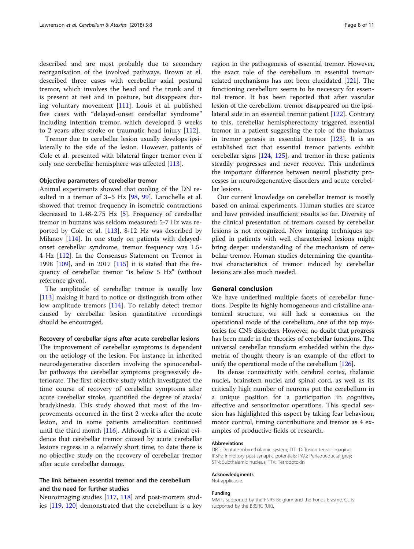described and are most probably due to secondary reorganisation of the involved pathways. Brown at el. described three cases with cerebellar axial postural tremor, which involves the head and the trunk and it is present at rest and in posture, but disappears during voluntary movement [[111\]](#page-10-0). Louis et al. published five cases with "delayed-onset cerebellar syndrome" including intention tremor, which developed 3 weeks to 2 years after stroke or traumatic head injury [\[112](#page-10-0)].

Tremor due to cerebellar lesion usually develops ipsilaterally to the side of the lesion. However, patients of Cole et al. presented with bilateral finger tremor even if only one cerebellar hemisphere was affected [[113\]](#page-10-0).

#### Objective parameters of cerebellar tremor

Animal experiments showed that cooling of the DN resulted in a tremor of 3–5 Hz [\[98](#page-10-0), [99](#page-10-0)]. Larochelle et al. showed that tremor frequency in isometric contractions decreased to 1.48-2.75 Hz [\[5](#page-8-0)]. Frequency of cerebellar tremor in humans was seldom measured: 5-7 Hz was reported by Cole et al. [\[113\]](#page-10-0), 8-12 Hz was described by Milanov [\[114\]](#page-10-0). In one study on patients with delayedonset cerebellar syndrome, tremor frequency was 1.5- 4 Hz [[112\]](#page-10-0). In the Consensus Statement on Tremor in 1998 [[109\]](#page-10-0), and in 2017 [[115\]](#page-10-0) it is stated that the frequency of cerebellar tremor "is below 5 Hz" (without reference given).

The amplitude of cerebellar tremor is usually low [[113\]](#page-10-0) making it hard to notice or distinguish from other low amplitude tremors [[114](#page-10-0)]. To reliably detect tremor caused by cerebellar lesion quantitative recordings should be encouraged.

#### Recovery of cerebellar signs after acute cerebellar lesions

The improvement of cerebellar symptoms is dependent on the aetiology of the lesion. For instance in inherited neurodegenerative disorders involving the spinocerebellar pathways the cerebellar symptoms progressively deteriorate. The first objective study which investigated the time course of recovery of cerebellar symptoms after acute cerebellar stroke, quantified the degree of ataxia/ bradykinesia. This study showed that most of the improvements occurred in the first 2 weeks after the acute lesion, and in some patients amelioration continued until the third month [[116\]](#page-10-0). Although it is a clinical evidence that cerebellar tremor caused by acute cerebellar lesions regress in a relatively short time, to date there is no objective study on the recovery of cerebellar tremor after acute cerebellar damage.

#### The link between essential tremor and the cerebellum and the need for further studies

Neuroimaging studies [\[117,](#page-10-0) [118](#page-10-0)] and post-mortem studies [[119,](#page-10-0) [120\]](#page-10-0) demonstrated that the cerebellum is a key

region in the pathogenesis of essential tremor. However, the exact role of the cerebellum in essential tremorrelated mechanisms has not been elucidated [\[121](#page-10-0)]. The functioning cerebellum seems to be necessary for essential tremor. It has been reported that after vascular lesion of the cerebellum, tremor disappeared on the ipsilateral side in an essential tremor patient [[122\]](#page-10-0). Contrary to this, cerebellar hemispherectomy triggered essential tremor in a patient suggesting the role of the thalamus in tremor genesis in essential tremor [[123](#page-10-0)]. It is an established fact that essential tremor patients exhibit cerebellar signs [\[124,](#page-10-0) [125](#page-10-0)], and tremor in these patients steadily progresses and never recover. This underlines the important difference between neural plasticity processes in neurodegenerative disorders and acute cerebellar lesions.

Our current knowledge on cerebellar tremor is mostly based on animal experiments. Human studies are scarce and have provided insufficient results so far. Diversity of the clinical presentation of tremors caused by cerebellar lesions is not recognized. New imaging techniques applied in patients with well characterised lesions might bring deeper understanding of the mechanism of cerebellar tremor. Human studies determining the quantitative characteristics of tremor induced by cerebellar lesions are also much needed.

#### General conclusion

We have underlined multiple facets of cerebellar functions. Despite its highly homogeneous and cristalline anatomical structure, we still lack a consensus on the operational mode of the cerebellum, one of the top mysteries for CNS disorders. However, no doubt that progress has been made in the theories of cerebellar functions. The universal cerebellar transform embedded within the dysmetria of thought theory is an example of the effort to unify the operational mode of the cerebellum [\[126\]](#page-10-0).

Its dense connectivity with cerebral cortex, thalamic nuclei, brainstem nuclei and spinal cord, as well as its critically high number of neurons put the cerebellum in a unique position for a participation in cognitive, affective and sensorimotor operations. This special session has highlighted this aspect by taking fear behaviour, motor control, timing contributions and tremor as 4 examples of productive fields of research.

#### Abbreviations

DRT: Dentate-rubro-thalamic system; DTI: Diffusion tensor imaging; IPSPs: Inhibitory post-synaptic potentials; PAG: Periaqueductal grey; STN: Subthalamic nucleus; TTX: Tetrodotoxin

#### Acknowledgments

Not applicable.

#### Funding

MM is supported by the FNRS Belgium and the Fonds Erasme. CL is supported by the BBSRC (UK).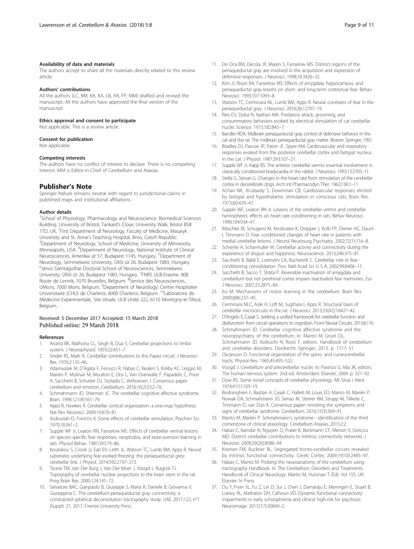#### <span id="page-8-0"></span>Availability of data and materials

The authors accept to share all the materials directly related to this review article.

#### Authors' contributions

All the authors (LC, BM, KA, KA, LB, AR, FP, MM) drafted and revised the manuscript. All the authors have approved the final version of the manuscript.

#### Ethics approval and consent to participate

Not applicable. This is a review article.

#### Consent for publication

Not applicable.

#### Competing interests

The authors have no conflict of interest to declare. There is no competing interest. MM is Editor-in-Chief of Cerebellum and Ataxias.

#### Publisher's Note

Springer Nature remains neutral with regard to jurisdictional claims in published maps and institutional affiliations.

#### Author details

<sup>1</sup>School of Physiology, Pharmacology and Neuroscience, Biomedical Sciences Building, University of Bristol, Tankard's Close, University Walk, Bristol BS8 1TD, UK. <sup>2</sup> First Department of Neurology, Faculty of Medicine, Masaryk University and St. Anne's Teaching Hospital, Brno, Czech Republic. <sup>3</sup> <sup>3</sup> Department of Neurology, School of Medicine, University of Minnesota, Minneapolis, USA. <sup>4</sup>Department of Neurology, National Institute of Clinical Neurosciences, Amerikai út 57, Budapest 1145, Hungary. <sup>5</sup>Department of Neurology, Semmelweis University, Üllői út 26, Budapest 1083, Hungary. <sup>6</sup> János Szentágothai Doctoral School of Neurosciences, Semmelweis University, Üllői út 26, Budapest 1083, Hungary. <sup>7</sup>FNRS ULB-Erasme, 808 Route de Lennik, 1070 Bruxelles, Belgium. <sup>8</sup>Service des Neurosciences, UMons, 7000 Mons, Belgium. <sup>9</sup>Department of Neurology, Centre Hospitalier Universitaire (CHU) de Charleroi, 6000 Charleroi, Belgium. <sup>10</sup>Laboratoire de Médecine Expérimentale, Site Vésale, ULB Unité 222, 6110 Montigny-le-Tilleul, Belgium.

## Received: 5 December 2017 Accepted: 15 March 2018<br>Published online: 29 March 2018

#### References

- 1. Anand BK, Malhotra CL, Singh B, Dua S. Cerebellar projections to limbic system. J Neurophysiol. 1959;22:451–7.
- 2. Snider RS, Maiti A. Cerebellar contributions to the Papez circuit. J Neurosci Res. 1976;2:133–46.
- 3. Adamaszek M, D'Agata F, Ferrucci R, Habas C, Keulen S, Kirkby KC, Leggio M, Mariën P, Molinari M, Moulton E, Orsi L, Van Overwalle F, Papadelis C, Priori A, Sacchetti B, Schutter DJ, Styliadis C, Verhoeven J. Consensus paper: cerebellum and emotion. Cerebellum. 2016;16(2):552–76.
- Schmahmann JD, Sherman JC. The cerebellar cognitive affective syndrome. Brain. 1998;121(4):561–79.
- Apps R, Hawkes R. Cerebellar cortical organization: a one-map hypothesis. Nat Rev Neurosci. 2009;10:670–81.
- 6. Asdourian D, Frerichs K. Some effects of cerebellar stimulation. Psychon Sci. 1970;18:261–2.
- 7. Supple WF Jr, Leaton RN, Fanselow MS. Effects of cerebellar vermal lesions on species-specific fear responses, neophobia, and taste-aversion learning in rats. Physiol Behav. 1987;39:579–86.
- 8. Koutsikou S, Crook JJ, Earl EV, Leith JL, Watson TC, Lumb BM, Apps R. Neural substrates underlying fear-evoked freezing: the periaqueductal greycerebellar link. J Physiol. 2014;592:2197–213.
- 9. Teune TM, Van Der Burg J, Van Der Moer J, Voogd J, Ruigrok TJ. Topography of cerebellar nuclear projections to the brain stem in the rat. Prog Brain Res. 2000;124:141–72.
- 10. Salvatore BAC, Gianpaolo B, Giuseppe S, Maria R, Daniele B, Giovanna V, Giuseppina C. The cerebellum-periaqueductal gray connectivity: a constrained spherical deconvolution tractography study. IJAE. 2017;122, n°1 (Suppl): 27, 2017, Firenze University Press.
- 11. De Oca BM, Decola JP, Maren S, Fanselow MS. Distinct regions of the periaqueductal gray are involved in the acquisition and expression of defensive responses. J Neurosci. 1998;18:3426–32.
- 12. Kim JJ, Rison RA, Fanselow MS. Effects of amygdala, hippocampus, and periaqueductal gray lesions on short- and long-term contextual fear. Behav Neurosci. 1993;107:1093–8.
- 13. Watson TC, Cerminara NL, Lumb BM, Apps R. Neural correlates of fear in the periaqueductal gray. J Neurosci. 2016;36:12707–19.
- 14. Reis DJ, Doba N, Nathan MA. Predatory attack, grooming, and consummatory behaviors evoked by electrical stimulation of cat cerebellar nuclei. Science. 1973;182:845–7.
- 15. Bandler RDA. Midbrain periaqueductal gray control of defensive behavior in the cat and the rat. The midbrain periaqueductal gray matter. Boston: Springer; 1991.
- 16. Bradley DJ, Pascoe JP, Paton JF, Spyer KM. Cardiovascular and respiratory responses evoked from the posterior cerebellar cortex and fastigial nucleus in the cat. J Physiol. 1987;393:107–21.
- 17. Supple WF Jr, Kapp BS. The anterior cerebellar vermis: essential involvement in classically conditioned bradycardia in the rabbit. J Neurosci. 1993;13:3705–11.
- 18. Stella G, Stevan G. Changes in the heart rate from stimulation of the cerebellar cortex in decerebrate dogs. Arch Int Pharmacodyn Ther. 1962;136:1–11.
- 19. Achari NK, Al-ubaidy S, Downman CB. Cardiovascular responses elicited by fastigial and hypothalamic stimulation in conscious cats. Brain Res 1973;60:439–47.
- 20. Supple WF, Leaton RN Jr. Lesions of the cerebellar vermis and cerebellar hemispheres: effects on heart rate conditioning in rats. Behav Neurosci. 1990;104:934–47.
- 21. Maschke M, Schugens M, Kindsvater K, Drepper J, Kolb FP, Diener HC, Daum I, Timmann D. Fear conditioned changes of heart rate in patients with medial cerebellar lesions. J Neurol Neurosurg Psychiatry. 2002;72(1):116–8.
- 22. Schienle A, Scharmuller W. Cerebellar activity and connectivity during the experience of disgust and happiness. Neuroscience. 2013;246:375–81.
- 23. Sacchetti B, Baldi E, Lorenzini CA, Bucherelli C. Cerebellar role in fearconditioning consolidation. Proc Natl Acad Sci U S A. 2002;99:8406–11.
- 24. Sacchetti B, Sacco T, Strata P. Reversible inactivation of amygdala and cerebellum but not perirhinal cortex impairs reactivated fear memories. Eur J Neurosci. 2007;25:2875–84.
- 25. Ito M. Mechanisms of motor learning in the cerebellum. Brain Res. 2000;886:237–45.
- 26. Cerminara NLC, Aoki H, Loft M, Sugihara I, Apps R. Structural basis of cerebellar microcircuits in the rat. J Neurosci. 2013;33(42):16427–42.
- 27. D'Angelo E, Casali S. Seeking a unified framework for cerebellar function and dysfunction: from circuit operations to cognition. Front Neural Circuits. 2013;6:116.
- 28. Schmahmann JD. Cerebellar cognitive affective syndrome and the neuropsychiatry of the cerebellum. In: Manto M, Gruol DL, Schmahmann JD, Koibuchi N, Rossi F, editors. Handbook of cerebellum and cerebellar disorders. Dordrecht: Springer; 2013. p. 1717–51.
- 29. Oscarsson O. Functional organization of the spino- and cuneocerebellar tracts. Physiol Rev. 1965;45:495–522.
- 30. Voogd J. Cerebellum and precerebellar nuclei. In: Paxinos G, Mai JK, editors. The human nervous system. 2nd ed. Amsterdam: Elsevier; 2004. p. 321–92.
- 31. Dow RS. Some novel concepts of cerebellar physiology. Mt Sinai J Med. 1974;41(1):103–19.
- 32. Bodranghien F, Bastian A, Casali C, Hallett M, Louis ED, Manto M, Mariën P, Nowak DA, Schmahmann JD, Serrao M, Steiner KM, Strupp M, Tilikete C, Timmann D, van Dun K. Consensus paper: revisiting the symptoms and signs of cerebellar syndrome. Cerebellum. 2016;15(3):369–91.
- 33. Manto M, Mariën P. Schmahmann's syndrome identification of the third cornerstone of clinical ataxiology. Cerebellum Ataxias. 2015;2:2.
- 34. Habas C, Kamdar N, Nguyen D, Prater K, Beckmann CF, Menon V, Greicius MD. Distinct cerebellar contributions to intrinsic connectivity networks. J Neurosci. 2009;29(26):8586–94.
- 35. Krienen FM, Buckner RL. Segregated fronto-cerebellar circuits revealed by intrinsic functional connectivity. Cereb Cortex. 2009;19(10):2485–97.
- 36. Habas C, Manto M. Probing the neuroanatomy of the cerebellum using tractography Handbook. In: The Cerebellum: Disorders and Treatments. Handbook of Clinical Neurology. Manto M, Huisman T (Ed). Vol 155. UK: Elsevier. In Press.
- 37. Du Y, Fryer SL, Fu Z, Lin D, Sui J, Chen J, Damaraju E, Mennigen E, Stuart B, Loewy RL, Mathalon DH, Calhoun VD. Dynamic functional connectivity impairments in early schizophrenia and clinical high-risk for psychosis. Neuroimage. 2017;(17):30849–2.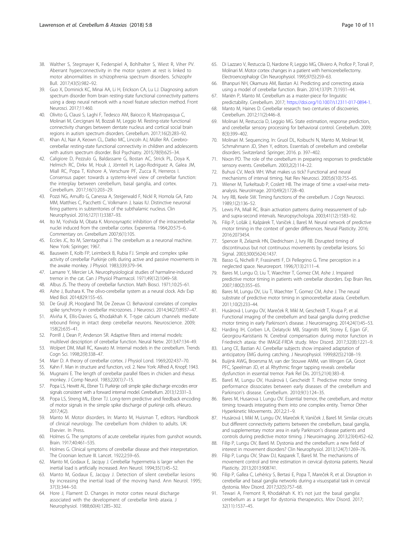- <span id="page-9-0"></span>38. Walther S, Stegmayer K, Federspiel A, Bohlhalter S, Wiest R, Viher PV. Aberrant hyperconnectivity in the motor system at rest is linked to motor abnormalities in schizophrenia spectrum disorders. Schizophr Bull. 2017;43(5):982–92.
- 39. Guo X, Dominick KC, Minai AA, Li H, Erickson CA, Lu LJ. Diagnosing autism spectrum disorder from brain resting-state functional connectivity patterns using a deep neural network with a novel feature selection method. Front Neurosci. 2017;11:460.
- 40. Olivito G, Clausi S, Laghi F, Tedesco AM, Baiocco R, Mastropasqua C, Molinari M, Cercignani M, Bozzali M, Leggio M, Resting-state functional connectivity changes between dentate nucleus and cortical social brain regions in autism spectrum disorders. Cerebellum. 2017;16(2):283–92.
- 41. Khan AJ, Nair A, Keown CL, Datko MC, Lincoln AJ, Müller RA. Cerebrocerebellar resting-state functional connectivity in children and adolescents with autism spectrum disorder. Biol Psychiatry. 2015;78(9):625–34.
- 42. Caligiore D, Pezzulo G, Baldassarre G, Bostan AC, Strick PL, Doya K, Helmich RC, Dirkx M, Houk J, Jörntell H, Lago-Rodriguez A, Galea JM, Miall RC, Popa T, Kishore A, Verschure PF, Zucca R, Herreros I. Consensus paper: towards a systems-level view of cerebellar function: the interplay between cerebellum, basal ganglia, and cortex. Cerebellum. 2017;16(1):203–29.
- 43. Pozzi NG, Arnulfo G, Canessa A, Steigerwald F, Nickl R, Homola GA, Fato MM, Matthies C, Pacchetti C, Volkmann J, Isaias IU. Distinctive neuronal firing patterns in subterritories of the subthalamic nucleus. Clin Neurophysiol. 2016;127(11):3387–93.
- 44. Ito M, Yoshida M, Obata K. Monosynaptic inhibition of the intracerebellar nuclei induced from the cerebellar cortex. Experentia. 1964;20:575–6. Commentary on. Cerebellum 2007;6(1):105.
- 45. Eccles JC, Ito M, Szentagothai J. The cerebellum as a neuronal machine. New York: Springer; 1967.
- 46. Bauswein E, Kolb FP, Leimbeck B, Rubia FJ. Simple and complex spike activity of cerebellar Purkinje cells during active and passive movements in the awake monkey. J Physiol. 1983;339:379–94.
- 47. Lamarre Y, Mercier LA. Neurophysiological studies of harmaline-induced tremor in the cat. Can J Physiol Pharmacol. 1971;49(12):1049–58.
- 48. Albus JS. The theory of cerebellar function. Math Biosci. 1971;10:25–61.
- 49. Ashe J, Bushara K. The olivo-cerebellar system as a neural clock. Adv Exp Med Biol. 2014;829:155–65.
- 50. De Gruijl JR, Hoogland TM, De Zeeuw CI. Behavioral correlates of complex spike synchrony in cerebellar microzones. J Neurosci. 2014;34(27):8937–47.
- 51. Alviña K, Ellis-Davies G, Khodakhah K. T-type calcium channels mediate rebound firing in intact deep cerebellar neurons. Neuroscience. 2009; 158(2):635–41.
- 52. Porrill J, Dean P, Anderson SR, Adaptive filters and internal models: multilevel description of cerebellar function. Neural Netw. 2013;47:134–49.
- 53. Wolpert DM, Miall RC, Kawato M. Internal models in the cerebellum. Trends Cogn Sci. 1998;2(9):338–47.
- 54. Marr D. A theory of cerebellar cortex. J Physiol Lond. 1969;202:437–70.
- 55. Kahn F. Man in structure and function, vol. 2. New York: Alfred A, Knopf; 1943.
- 56. Mugnaini E. The length of cerebellar parallel fibers in chicken and rhesus monkey. J Comp Neurol. 1983;220(1):7–15.
- 57. Popa LS, Hewitt AL, Ebner TJ. Purkinje cell simple spike discharge encodes error signals consistent with a forward internal model. Cerebellum. 2013;12:331–3.
- Popa LS, Streng ML, Ebner TJ. Long-term predictive and feedback encoding of motor signals in the simple spike discharge of purkinje cells. eNeuro. 2017;4(2).
- 59. Manto M. Motor disorders. In: Manto M, Huisman T, editors. Handbook of clinical neurology. The cerebellum from children to adults. UK: Elsevier. In Press.
- 60. Holmes G. The symptoms of acute cerebellar injuries from gunshot wounds. Brain. 1917;40:461–535.
- 61. Holmes G. Clinical symptoms of cerebellar disease and their interpretation. The Croonian lecture III. Lancet. 1922;2:59–65.
- 62. Manto M, Godaux E, Jacquy J. Cerebellar hypermetria is larger when the inertial load is artificially increased. Ann Neurol. 1994;35(1):45–52.
- 63. Manto M, Godaux E, Jacquy J. Detection of silent cerebellar lesions by increasing the inertial load of the moving hand. Ann Neurol. 1995; 37(3):344–50.
- 64. Hore J, Flament D. Changes in motor cortex neural discharge associated with the development of cerebellar limb ataxia. J Neurophysiol. 1988;60(4):1285–302.
- 65. Di Lazzaro V, Restuccia D, Nardone R, Leggio MG, Oliviero A, Profice P, Tonali P, Molinari M. Motor cortex changes in a patient with hemicerebellectomy. Electroencephalogr Clin Neurophysiol. 1995;97(5):259–63.
- 66. Bhanpuri NH, Okamura AM, Bastian AJ. Predicting and correcting ataxia using a model of cerebellar function. Brain. 2014;137(Pt 7):1931–44.
- 67. Mariën P, Manto M. Cerebellum as a master-piece for linguistic predictability. Cerebellum. 2017; <https://doi.org/10.1007/s12311-017-0894-1>.
- 68. Manto M, Haines D. Cerebellar research: two centuries of discoveries. Cerebellum. 2012;11(2):446–8.
- 69. Molinari M, Restuccia D, Leggio MG. State estimation, response prediction, and cerebellar sensory processing for behavioral control. Cerebellum. 2009; 8(3):399–402.
- 70. Molinari M. Sequencing. In: Gruol DL, Koibuchi N, Manto M, Molinari M, Schmahmann JD, Shen Y, editors. Essentials of cerebellum and cerebellar disorders. Switzerland: Springer; 2016. p. 397–402.
- 71. Nixon PD. The role of the cerebellum in preparing responses to predictable sensory events. Cerebellum. 2003;2(2):114–22.
- 72. Buhusi CV, Meck WH. What makes us tick? Functional and neural mechanisms of interval timing. Nat Rev Neurosci. 2005;6(10):755–65.
- 73. Wiener M, Turkeltaub P, Coslett HB. The image of time: a voxel-wise metaanalysis. NeuroImage. 2010;49(2):1728–40.
- 74. Ivry RB, Keele SW. Timing functions of the cerebellum. J Cogn Neurosci. 1989;1(2):136–52.
- 75. Lewis PA, Miall RC. Brain activation patterns during measurement of suband supra-second intervals. Neuropsychologia. 2003;41(12):1583–92.
- 76. Filip P, Lošák J, Kašpárek T, Vaníček J, Bareš M. Neural network of predictive motor timing in the context of gender differences. Neural Plasticity. 2016; 2016:2073454.
- 77. Spencer R, Zelaznik HN, Diedrichsen J, Ivry RB. Disrupted timing of discontinuous but not continuous movements by cerebellar lesions. Sci Signal. 2003;300(5624):1437.
- 78. Basso G, Nichelli P, Frassinetti F, Di Pellegrino G. Time perception in a neglected space. Neuroreport. 1996;7(13):2111–4.
- 79. Bares M, Lungu O, Liu T, Waechter T, Gomez CM, Ashe J. Impaired predictive motor timing in patients with cerebellar disorders. Exp Brain Res. 2007;180(2):355–65.
- 80. Bares M, Lungu OV, Liu T, Waechter T, Gomez CM, Ashe J. The neural substrate of predictive motor timing in spinocerebellar ataxia. Cerebellum. 2011;10(2):233–44.
- 81. Husárová I, Lungu OV, Mareček R, Mikl M, Gescheidt T, Krupa P, et al. Functional imaging of the cerebellum and basal ganglia during predictive motor timing in early Parkinson's disease. J Neuroimaging. 2014;24(1):45–53.
- 82. Harding IH, Corben LA, Delatycki MB, Stagnitti MR, Storey E, Egan GF, Georgiou-Karistianis N. Cerebral compensation during motor function in Friedreich ataxia: the IMAGE-FRDA study. Mov Disord. 2017;32(8):1221–9.
- 83. Lang CE, Bastian AJ. Cerebellar subjects show impaired adaptation of anticipatory EMG during catching. J Neurophysiol. 1999;82(5):2108–19.
- 84. Buijink AWG, Broersma M, van der Stouwe AMM, van Wingen GA, Groot PFC, Speelman JD, et al. Rhythmic finger tapping reveals cerebellar dysfunction in essential tremor. Park Rel Dis. 2015;21(4):383–8.
- 85. Bareš M, Lungu OV, Husárová I, Gescheidt T. Predictive motor timing performance dissociates between early diseases of the cerebellum and Parkinson's disease. Cerebellum. 2010;9(1):124–35.
- 86. Bares M, Husarova I, Lungu OV. Essential tremor, the cerebellum, and motor timing: towards integrating them into one complex entity. Tremor Other Hyperkinetic Movements. 2012;2:1–9.
- 87. Husárová I, Mikl M, Lungu OV, Mareček R, Vaníček J, Bareš M. Similar circuits but different connectivity patterns between the cerebellum, basal ganglia, and supplementary motor area in early Parkinson's disease patients and controls during predictive motor timing. J Neuroimaging. 2013;23(4):452–62.
- 88. Filip P, Lungu OV, Bareš M. Dystonia and the cerebellum: a new field of interest in movement disorders? Clin Neurophysiol. 2013;124(7):1269–76.
- 89. Filip P, Lungu OV, Shaw DJ, Kasparek T, Bareš M. The mechanisms of movement control and time estimation in cervical dystonia patients. Neural Plasticity. 2013;2013:908741.
- 90. Filip P, Gallea C, Lehéricy S, Bertasi E, Popa T, Mareček R, et al. Disruption in cerebellar and basal ganglia networks during a visuospatial task in cervical dystonia. Mov Disord. 2017;32(5):757–68.
- 91. Tewari A, Fremont R, Khodakhah K. It's not just the basal ganglia: cerebellum as a target for dystonia therapeutics. Mov Disord. 2017; 32(11):1537–45.